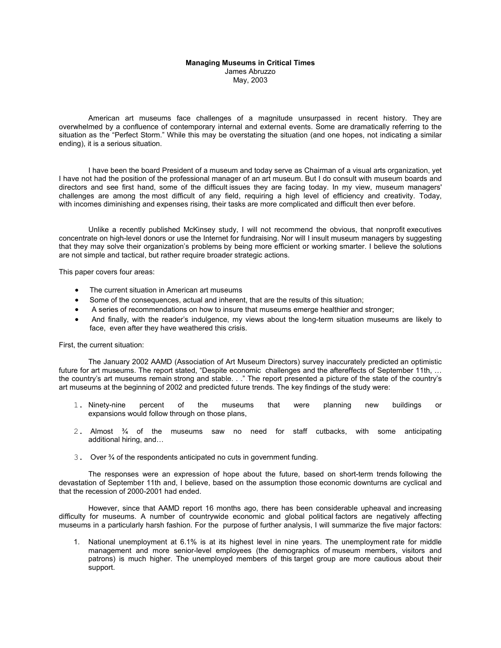## **Managing Museums in Critical Times**  James Abruzzo May, 2003

 American art museums face challenges of a magnitude unsurpassed in recent history. They are overwhelmed by a confluence of contemporary internal and external events. Some are dramatically referring to the situation as the "Perfect Storm." While this may be overstating the situation (and one hopes, not indicating a similar ending), it is a serious situation.

 I have been the board President of a museum and today serve as Chairman of a visual arts organization, yet I have not had the position of the professional manager of an art museum. But I do consult with museum boards and directors and see first hand, some of the difficult issues they are facing today. In my view, museum managers' challenges are among the most difficult of any field, requiring a high level of efficiency and creativity. Today, with incomes diminishing and expenses rising, their tasks are more complicated and difficult then ever before.

 Unlike a recently published McKinsey study, I will not recommend the obvious, that nonprofit executives concentrate on high-level donors or use the Internet for fundraising. Nor will I insult museum managers by suggesting that they may solve their organization's problems by being more efficient or working smarter. I believe the solutions are not simple and tactical, but rather require broader strategic actions.

This paper covers four areas:

- The current situation in American art museums
- Some of the consequences, actual and inherent, that are the results of this situation;
- A series of recommendations on how to insure that museums emerge healthier and stronger;
- And finally, with the reader's indulgence, my views about the long-term situation museums are likely to face, even after they have weathered this crisis.

## First, the current situation:

 The January 2002 AAMD (Association of Art Museum Directors) survey inaccurately predicted an optimistic future for art museums. The report stated, "Despite economic challenges and the aftereffects of September 11th, ... the country's art museums remain strong and stable. . ." The report presented a picture of the state of the country's art museums at the beginning of 2002 and predicted future trends. The key findings of the study were:

- 1. Ninety-nine percent of the museums that were planning new buildings or expansions would follow through on those plans,
- 2. Almost ¾ of the museums saw no need for staff cutbacks, with some anticipating additional hiring, and…
- 3. Over ¾ of the respondents anticipated no cuts in government funding.

 The responses were an expression of hope about the future, based on short-term trends following the devastation of September 11th and, I believe, based on the assumption those economic downturns are cyclical and that the recession of 2000-2001 had ended.

 However, since that AAMD report 16 months ago, there has been considerable upheaval and increasing difficulty for museums. A number of countrywide economic and global political factors are negatively affecting museums in a particularly harsh fashion. For the purpose of further analysis, I will summarize the five major factors:

1. National unemployment at 6.1% is at its highest level in nine years. The unemployment rate for middle management and more senior-level employees (the demographics of museum members, visitors and patrons) is much higher. The unemployed members of this target group are more cautious about their support.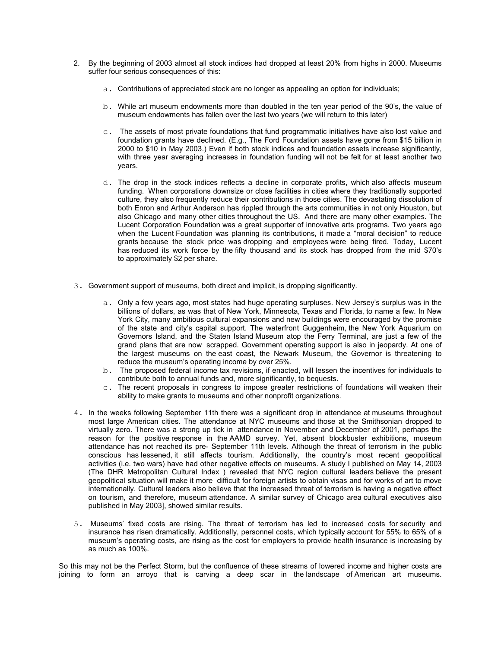- 2. By the beginning of 2003 almost all stock indices had dropped at least 20% from highs in 2000. Museums suffer four serious consequences of this:
	- a. Contributions of appreciated stock are no longer as appealing an option for individuals;
	- b. While art museum endowments more than doubled in the ten year period of the 90's, the value of museum endowments has fallen over the last two years (we will return to this later)
	- $c$ . The assets of most private foundations that fund programmatic initiatives have also lost value and foundation grants have declined. (E.g., The Ford Foundation assets have gone from \$15 billion in 2000 to \$10 in May 2003.) Even if both stock indices and foundation assets increase significantly, with three year averaging increases in foundation funding will not be felt for at least another two years.
	- d. The drop in the stock indices reflects a decline in corporate profits, which also affects museum funding. When corporations downsize or close facilities in cities where they traditionally supported culture, they also frequently reduce their contributions in those cities. The devastating dissolution of both Enron and Arthur Anderson has rippled through the arts communities in not only Houston, but also Chicago and many other cities throughout the US. And there are many other examples. The Lucent Corporation Foundation was a great supporter of innovative arts programs. Two years ago when the Lucent Foundation was planning its contributions, it made a "moral decision" to reduce grants because the stock price was dropping and employees were being fired. Today, Lucent has reduced its work force by the fifty thousand and its stock has dropped from the mid \$70's to approximately \$2 per share.
- 3. Government support of museums, both direct and implicit, is dropping significantly.
	- a. Only a few years ago, most states had huge operating surpluses. New Jersey's surplus was in the billions of dollars, as was that of New York, Minnesota, Texas and Florida, to name a few. In New York City, many ambitious cultural expansions and new buildings were encouraged by the promise of the state and city's capital support. The waterfront Guggenheim, the New York Aquarium on Governors Island, and the Staten Island Museum atop the Ferry Terminal, are just a few of the grand plans that are now scrapped. Government operating support is also in jeopardy. At one of the largest museums on the east coast, the Newark Museum, the Governor is threatening to reduce the museum's operating income by over 25%.
	- b. The proposed federal income tax revisions, if enacted, will lessen the incentives for individuals to contribute both to annual funds and, more significantly, to bequests.
	- c. The recent proposals in congress to impose greater restrictions of foundations will weaken their ability to make grants to museums and other nonprofit organizations.
- 4. In the weeks following September 11th there was a significant drop in attendance at museums throughout most large American cities. The attendance at NYC museums and those at the Smithsonian dropped to virtually zero. There was a strong up tick in attendance in November and December of 2001, perhaps the reason for the positive response in the AAMD survey. Yet, absent blockbuster exhibitions, museum attendance has not reached its pre- September 11th levels. Although the threat of terrorism in the public conscious has lessened, it still affects tourism. Additionally, the country's most recent geopolitical activities (i.e. two wars) have had other negative effects on museums. A study I published on May 14, 2003 (The DHR Metropolitan Cultural Index ) revealed that NYC region cultural leaders believe the present geopolitical situation will make it more difficult for foreign artists to obtain visas and for works of art to move internationally. Cultural leaders also believe that the increased threat of terrorism is having a negative effect on tourism, and therefore, museum attendance. A similar survey of Chicago area cultural executives also published in May 2003], showed similar results.
- 5. Museums' fixed costs are rising. The threat of terrorism has led to increased costs for security and insurance has risen dramatically. Additionally, personnel costs, which typically account for 55% to 65% of a museum's operating costs, are rising as the cost for employers to provide health insurance is increasing by as much as 100%.

So this may not be the Perfect Storm, but the confluence of these streams of lowered income and higher costs are joining to form an arroyo that is carving a deep scar in the landscape of American art museums.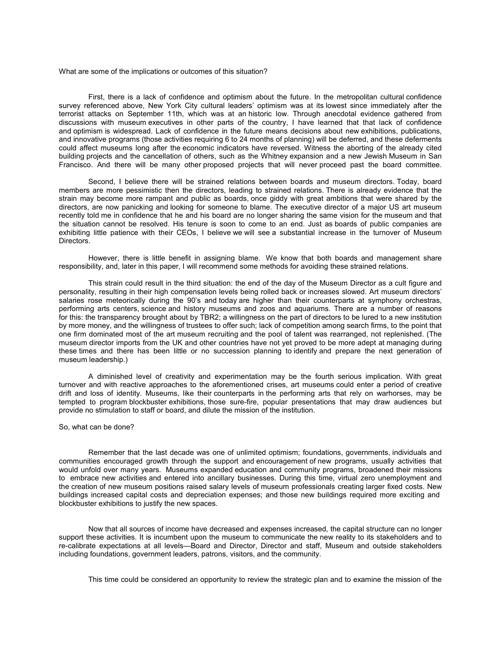What are some of the implications or outcomes of this situation?

 First, there is a lack of confidence and optimism about the future. In the metropolitan cultural confidence survey referenced above, New York City cultural leaders' optimism was at its lowest since immediately after the terrorist attacks on September 11th, which was at an historic low. Through anecdotal evidence gathered from discussions with museum executives in other parts of the country, I have learned that that lack of confidence and optimism is widespread. Lack of confidence in the future means decisions about new exhibitions, publications, and innovative programs (those activities requiring 6 to 24 months of planning) will be deferred, and these deferments could affect museums long after the economic indicators have reversed. Witness the aborting of the already cited building projects and the cancellation of others, such as the Whitney expansion and a new Jewish Museum in San Francisco. And there will be many other proposed projects that will never proceed past the board committee.

 Second, I believe there will be strained relations between boards and museum directors. Today, board members are more pessimistic then the directors, leading to strained relations. There is already evidence that the strain may become more rampant and public as boards, once giddy with great ambitions that were shared by the directors, are now panicking and looking for someone to blame. The executive director of a major US art museum recently told me in confidence that he and his board are no longer sharing the same vision for the museum and that the situation cannot be resolved. His tenure is soon to come to an end. Just as boards of public companies are exhibiting little patience with their CEOs, I believe we will see a substantial increase in the turnover of Museum Directors.

 However, there is little benefit in assigning blame. We know that both boards and management share responsibility, and, later in this paper, I will recommend some methods for avoiding these strained relations.

 This strain could result in the third situation: the end of the day of the Museum Director as a cult figure and personality, resulting in their high compensation levels being rolled back or increases slowed. Art museum directors' salaries rose meteorically during the 90's and today are higher than their counterparts at symphony orchestras, performing arts centers, science and history museums and zoos and aquariums. There are a number of reasons for this: the transparency brought about by TBR2; a willingness on the part of directors to be lured to a new institution by more money, and the willingness of trustees to offer such; lack of competition among search firms, to the point that one firm dominated most of the art museum recruiting and the pool of talent was rearranged, not replenished. (The museum director imports from the UK and other countries have not yet proved to be more adept at managing during these times and there has been little or no succession planning to identify and prepare the next generation of museum leadership.)

 A diminished level of creativity and experimentation may be the fourth serious implication. With great turnover and with reactive approaches to the aforementioned crises, art museums could enter a period of creative drift and loss of identity. Museums, like their counterparts in the performing arts that rely on warhorses, may be tempted to program blockbuster exhibitions, those sure-fire, popular presentations that may draw audiences but provide no stimulation to staff or board, and dilute the mission of the institution.

So, what can be done?

 Remember that the last decade was one of unlimited optimism; foundations, governments, individuals and communities encouraged growth through the support and encouragement of new programs, usually activities that would unfold over many years. Museums expanded education and community programs, broadened their missions to embrace new activities and entered into ancillary businesses. During this time, virtual zero unemployment and the creation of new museum positions raised salary levels of museum professionals creating larger fixed costs. New buildings increased capital costs and depreciation expenses; and those new buildings required more exciting and blockbuster exhibitions to justify the new spaces.

 Now that all sources of income have decreased and expenses increased, the capital structure can no longer support these activities. It is incumbent upon the museum to communicate the new reality to its stakeholders and to re-calibrate expectations at all levels—Board and Director, Director and staff, Museum and outside stakeholders including foundations, government leaders, patrons, visitors, and the community.

This time could be considered an opportunity to review the strategic plan and to examine the mission of the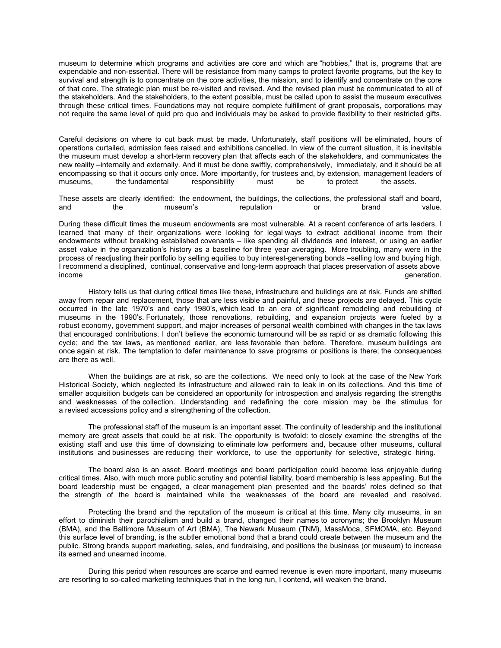museum to determine which programs and activities are core and which are "hobbies," that is, programs that are expendable and non-essential. There will be resistance from many camps to protect favorite programs, but the key to survival and strength is to concentrate on the core activities, the mission, and to identify and concentrate on the core of that core. The strategic plan must be re-visited and revised. And the revised plan must be communicated to all of the stakeholders. And the stakeholders, to the extent possible, must be called upon to assist the museum executives through these critical times. Foundations may not require complete fulfillment of grant proposals, corporations may not require the same level of quid pro quo and individuals may be asked to provide flexibility to their restricted gifts.

Careful decisions on where to cut back must be made. Unfortunately, staff positions will be eliminated, hours of operations curtailed, admission fees raised and exhibitions cancelled. In view of the current situation, it is inevitable the museum must develop a short-term recovery plan that affects each of the stakeholders, and communicates the new reality –internally and externally. And it must be done swiftly, comprehensively, immediately, and it should be all encompassing so that it occurs only once. More importantly, for trustees and, by extension, management leaders of museums.<br>
The fundamental responsibility must be to protect the assets. the fundamental

These assets are clearly identified: the endowment, the buildings, the collections, the professional staff and board, and the museum's reputation or brand value.

During these difficult times the museum endowments are most vulnerable. At a recent conference of arts leaders, I learned that many of their organizations were looking for legal ways to extract additional income from their endowments without breaking established covenants – like spending all dividends and interest, or using an earlier asset value in the organization's history as a baseline for three year averaging. More troubling, many were in the process of readjusting their portfolio by selling equities to buy interest-generating bonds –selling low and buying high. I recommend a disciplined, continual, conservative and long-term approach that places preservation of assets above income generation. The contract of the contract of the contract of the contract of the contract of the contract of the contract of the contract of the contract of the contract of the contract of the contract of the contrac

 History tells us that during critical times like these, infrastructure and buildings are at risk. Funds are shifted away from repair and replacement, those that are less visible and painful, and these projects are delayed. This cycle occurred in the late 1970's and early 1980's, which lead to an era of significant remodeling and rebuilding of museums in the 1990's. Fortunately, those renovations, rebuilding, and expansion projects were fueled by a robust economy, government support, and major increases of personal wealth combined with changes in the tax laws that encouraged contributions. I don't believe the economic turnaround will be as rapid or as dramatic following this cycle; and the tax laws, as mentioned earlier, are less favorable than before. Therefore, museum buildings are once again at risk. The temptation to defer maintenance to save programs or positions is there; the consequences are there as well.

 When the buildings are at risk, so are the collections. We need only to look at the case of the New York Historical Society, which neglected its infrastructure and allowed rain to leak in on its collections. And this time of smaller acquisition budgets can be considered an opportunity for introspection and analysis regarding the strengths and weaknesses of the collection. Understanding and redefining the core mission may be the stimulus for a revised accessions policy and a strengthening of the collection.

 The professional staff of the museum is an important asset. The continuity of leadership and the institutional memory are great assets that could be at risk. The opportunity is twofold: to closely examine the strengths of the existing staff and use this time of downsizing to eliminate low performers and, because other museums, cultural institutions and businesses are reducing their workforce, to use the opportunity for selective, strategic hiring.

 The board also is an asset. Board meetings and board participation could become less enjoyable during critical times. Also, with much more public scrutiny and potential liability, board membership is less appealing. But the board leadership must be engaged, a clear management plan presented and the boards' roles defined so that the strength of the board is maintained while the weaknesses of the board are revealed and resolved.

 Protecting the brand and the reputation of the museum is critical at this time. Many city museums, in an effort to diminish their parochialism and build a brand, changed their names to acronyms; the Brooklyn Museum (BMA), and the Baltimore Museum of Art (BMA), The Newark Museum (TNM), MassMoca, SFMOMA, etc. Beyond this surface level of branding, is the subtler emotional bond that a brand could create between the museum and the public. Strong brands support marketing, sales, and fundraising, and positions the business (or museum) to increase its earned and unearned income.

 During this period when resources are scarce and earned revenue is even more important, many museums are resorting to so-called marketing techniques that in the long run, I contend, will weaken the brand.